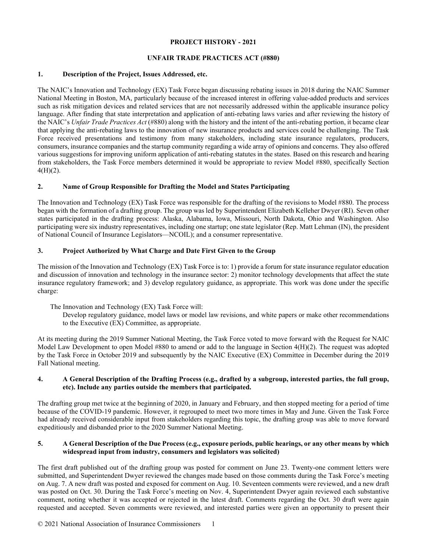## **PROJECT HISTORY - 2021**

## **UNFAIR TRADE PRACTICES ACT (#880)**

#### **1. Description of the Project, Issues Addressed, etc.**

The NAIC's Innovation and Technology (EX) Task Force began discussing rebating issues in 2018 during the NAIC Summer National Meeting in Boston, MA, particularly because of the increased interest in offering value-added products and services such as risk mitigation devices and related services that are not necessarily addressed within the applicable insurance policy language. After finding that state interpretation and application of anti-rebating laws varies and after reviewing the history of the NAIC's *Unfair Trade Practices Act* (#880) along with the history and the intent of the anti-rebating portion, it became clear that applying the anti-rebating laws to the innovation of new insurance products and services could be challenging. The Task Force received presentations and testimony from many stakeholders, including state insurance regulators, producers, consumers, insurance companies and the startup community regarding a wide array of opinions and concerns. They also offered various suggestions for improving uniform application of anti-rebating statutes in the states. Based on this research and hearing from stakeholders, the Task Force members determined it would be appropriate to review Model #880, specifically Section  $4(H)(2)$ .

## **2. Name of Group Responsible for Drafting the Model and States Participating**

The Innovation and Technology (EX) Task Force was responsible for the drafting of the revisions to Model #880. The process began with the formation of a drafting group. The group was led by Superintendent Elizabeth Kelleher Dwyer (RI). Seven other states participated in the drafting process: Alaska, Alabama, Iowa, Missouri, North Dakota, Ohio and Washington. Also participating were six industry representatives, including one startup; one state legislator (Rep. Matt Lehman (IN), the president of National Council of Insurance Legislators—NCOIL); and a consumer representative.

## **3. Project Authorized by What Charge and Date First Given to the Group**

The mission of the Innovation and Technology (EX) Task Force is to: 1) provide a forum for state insurance regulator education and discussion of innovation and technology in the insurance sector: 2) monitor technology developments that affect the state insurance regulatory framework; and 3) develop regulatory guidance, as appropriate. This work was done under the specific charge:

The Innovation and Technology (EX) Task Force will:

Develop regulatory guidance, model laws or model law revisions, and white papers or make other recommendations to the Executive (EX) Committee, as appropriate.

At its meeting during the 2019 Summer National Meeting, the Task Force voted to move forward with the Request for NAIC Model Law Development to open Model #880 to amend or add to the language in Section 4(H)(2). The request was adopted by the Task Force in October 2019 and subsequently by the NAIC Executive (EX) Committee in December during the 2019 Fall National meeting.

## **4. A General Description of the Drafting Process (e.g., drafted by a subgroup, interested parties, the full group, etc). Include any parties outside the members that participated.**

The drafting group met twice at the beginning of 2020, in January and February, and then stopped meeting for a period of time because of the COVID-19 pandemic. However, it regrouped to meet two more times in May and June. Given the Task Force had already received considerable input from stakeholders regarding this topic, the drafting group was able to move forward expeditiously and disbanded prior to the 2020 Summer National Meeting.

## **5. A General Description of the Due Process (e.g., exposure periods, public hearings, or any other means by which widespread input from industry, consumers and legislators was solicited)**

The first draft published out of the drafting group was posted for comment on June 23. Twenty-one comment letters were submitted, and Superintendent Dwyer reviewed the changes made based on those comments during the Task Force's meeting on Aug. 7. A new draft was posted and exposed for comment on Aug. 10. Seventeen comments were reviewed, and a new draft was posted on Oct. 30. During the Task Force's meeting on Nov. 4, Superintendent Dwyer again reviewed each substantive comment, noting whether it was accepted or rejected in the latest draft. Comments regarding the Oct. 30 draft were again requested and accepted. Seven comments were reviewed, and interested parties were given an opportunity to present their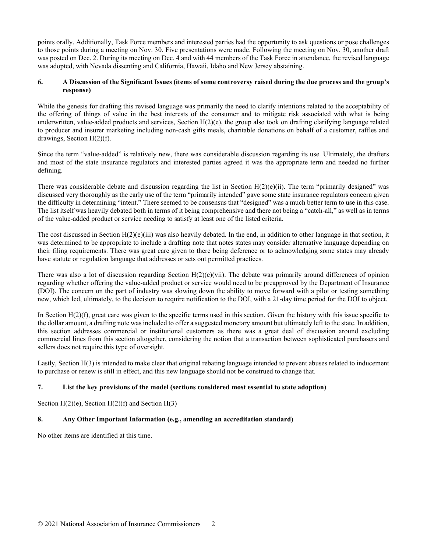points orally. Additionally, Task Force members and interested parties had the opportunity to ask questions or pose challenges to those points during a meeting on Nov. 30. Five presentations were made. Following the meeting on Nov. 30, another draft was posted on Dec. 2. During its meeting on Dec. 4 and with 44 members of the Task Force in attendance, the revised language was adopted, with Nevada dissenting and California, Hawaii, Idaho and New Jersey abstaining.

# **6. A Discussion of the Significant Issues (items of some controversy raised during the due process and the group's response)**

While the genesis for drafting this revised language was primarily the need to clarify intentions related to the acceptability of the offering of things of value in the best interests of the consumer and to mitigate risk associated with what is being underwritten, value-added products and services, Section  $H(2)(e)$ , the group also took on drafting clarifying language related to producer and insurer marketing including non-cash gifts meals, charitable donations on behalf of a customer, raffles and drawings, Section H(2)(f).

Since the term "value-added" is relatively new, there was considerable discussion regarding its use. Ultimately, the drafters and most of the state insurance regulators and interested parties agreed it was the appropriate term and needed no further defining.

There was considerable debate and discussion regarding the list in Section H(2)(e)(ii). The term "primarily designed" was discussed very thoroughly as the early use of the term "primarily intended" gave some state insurance regulators concern given the difficulty in determining "intent." There seemed to be consensus that "designed" was a much better term to use in this case. The list itself was heavily debated both in terms of it being comprehensive and there not being a "catch-all," as well as in terms of the value-added product or service needing to satisfy at least one of the listed criteria.

The cost discussed in Section  $H(2)(e)(iii)$  was also heavily debated. In the end, in addition to other language in that section, it was determined to be appropriate to include a drafting note that notes states may consider alternative language depending on their filing requirements. There was great care given to there being deference or to acknowledging some states may already have statute or regulation language that addresses or sets out permitted practices.

There was also a lot of discussion regarding Section  $H(2)(e)(vi)$ . The debate was primarily around differences of opinion regarding whether offering the value-added product or service would need to be preapproved by the Department of Insurance (DOI). The concern on the part of industry was slowing down the ability to move forward with a pilot or testing something new, which led, ultimately, to the decision to require notification to the DOI, with a 21-day time period for the DOI to object.

In Section H(2)(f), great care was given to the specific terms used in this section. Given the history with this issue specific to the dollar amount, a drafting note was included to offer a suggested monetary amount but ultimately left to the state. In addition, this section addresses commercial or institutional customers as there was a great deal of discussion around excluding commercial lines from this section altogether, considering the notion that a transaction between sophisticated purchasers and sellers does not require this type of oversight.

Lastly, Section H(3) is intended to make clear that original rebating language intended to prevent abuses related to inducement to purchase or renew is still in effect, and this new language should not be construed to change that.

## **7. List the key provisions of the model (sections considered most essential to state adoption)**

Section  $H(2)(e)$ , Section  $H(2)(f)$  and Section  $H(3)$ 

## **8. Any Other Important Information (e.g., amending an accreditation standard)**

No other items are identified at this time.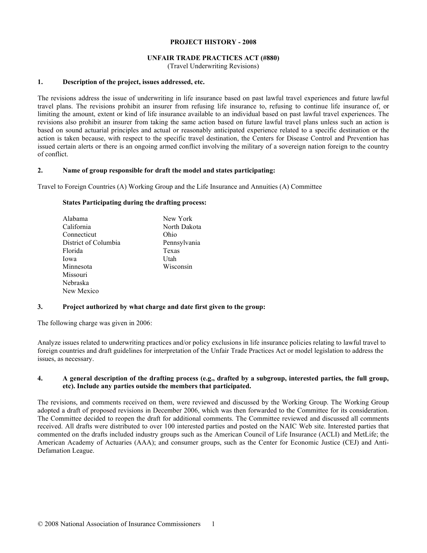#### **PROJECT HISTORY - 2008**

## **UNFAIR TRADE PRACTICES ACT (#880)**

(Travel Underwriting Revisions)

#### **1. Description of the project, issues addressed, etc.**

The revisions address the issue of underwriting in life insurance based on past lawful travel experiences and future lawful travel plans. The revisions prohibit an insurer from refusing life insurance to, refusing to continue life insurance of, or limiting the amount, extent or kind of life insurance available to an individual based on past lawful travel experiences. The revisions also prohibit an insurer from taking the same action based on future lawful travel plans unless such an action is based on sound actuarial principles and actual or reasonably anticipated experience related to a specific destination or the action is taken because, with respect to the specific travel destination, the Centers for Disease Control and Prevention has issued certain alerts or there is an ongoing armed conflict involving the military of a sovereign nation foreign to the country of conflict.

## **2. Name of group responsible for draft the model and states participating:**

Travel to Foreign Countries (A) Working Group and the Life Insurance and Annuities (A) Committee

#### **States Participating during the drafting process:**

| New York     |
|--------------|
| North Dakota |
| Ohio         |
| Pennsylvania |
| Texas        |
| Utah         |
| Wisconsin    |
|              |
|              |
|              |
|              |

## **3. Project authorized by what charge and date first given to the group:**

The following charge was given in 2006:

Analyze issues related to underwriting practices and/or policy exclusions in life insurance policies relating to lawful travel to foreign countries and draft guidelines for interpretation of the Unfair Trade Practices Act or model legislation to address the issues, as necessary.

## **4. A general description of the drafting process (e.g., drafted by a subgroup, interested parties, the full group, etc). Include any parties outside the members that participated.**

The revisions, and comments received on them, were reviewed and discussed by the Working Group. The Working Group adopted a draft of proposed revisions in December 2006, which was then forwarded to the Committee for its consideration. The Committee decided to reopen the draft for additional comments. The Committee reviewed and discussed all comments received. All drafts were distributed to over 100 interested parties and posted on the NAIC Web site. Interested parties that commented on the drafts included industry groups such as the American Council of Life Insurance (ACLI) and MetLife; the American Academy of Actuaries (AAA); and consumer groups, such as the Center for Economic Justice (CEJ) and Anti-Defamation League.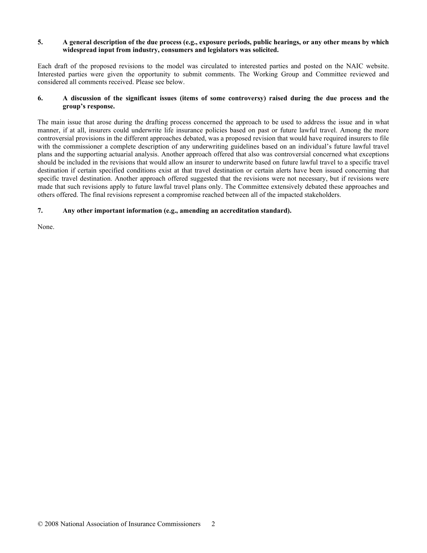## **5. A general description of the due process (e.g., exposure periods, public hearings, or any other means by which widespread input from industry, consumers and legislators was solicited.**

Each draft of the proposed revisions to the model was circulated to interested parties and posted on the NAIC website. Interested parties were given the opportunity to submit comments. The Working Group and Committee reviewed and considered all comments received. Please see below.

# **6. A discussion of the significant issues (items of some controversy) raised during the due process and the group's response.**

The main issue that arose during the drafting process concerned the approach to be used to address the issue and in what manner, if at all, insurers could underwrite life insurance policies based on past or future lawful travel. Among the more controversial provisions in the different approaches debated, was a proposed revision that would have required insurers to file with the commissioner a complete description of any underwriting guidelines based on an individual's future lawful travel plans and the supporting actuarial analysis. Another approach offered that also was controversial concerned what exceptions should be included in the revisions that would allow an insurer to underwrite based on future lawful travel to a specific travel destination if certain specified conditions exist at that travel destination or certain alerts have been issued concerning that specific travel destination. Another approach offered suggested that the revisions were not necessary, but if revisions were made that such revisions apply to future lawful travel plans only. The Committee extensively debated these approaches and others offered. The final revisions represent a compromise reached between all of the impacted stakeholders.

# **7. Any other important information (e.g., amending an accreditation standard).**

None.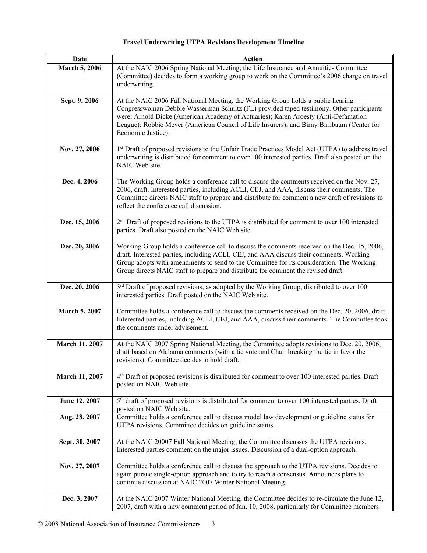# **Travel Underwriting UTPA Revisions Development Timeline**

| Date                 | <b>Action</b>                                                                                                                                                                                                                                                                                                                                                                          |
|----------------------|----------------------------------------------------------------------------------------------------------------------------------------------------------------------------------------------------------------------------------------------------------------------------------------------------------------------------------------------------------------------------------------|
| <b>March 5, 2006</b> | At the NAIC 2006 Spring National Meeting, the Life Insurance and Annuities Committee<br>(Committee) decides to form a working group to work on the Committee's 2006 charge on travel<br>underwriting.                                                                                                                                                                                  |
| Sept. 9, 2006        | At the NAIC 2006 Fall National Meeting, the Working Group holds a public hearing.<br>Congresswoman Debbie Wasserman Schultz (FL) provided taped testimony. Other participants<br>were: Arnold Dicke (American Academy of Actuaries); Karen Aroesty (Anti-Defamation<br>League); Robbie Meyer (American Council of Life Insurers); and Birny Birnbaum (Center for<br>Economic Justice). |
| Nov. 27, 2006        | 1st Draft of proposed revisions to the Unfair Trade Practices Model Act (UTPA) to address travel<br>underwriting is distributed for comment to over 100 interested parties. Draft also posted on the<br>NAIC Web site.                                                                                                                                                                 |
| Dec. 4, 2006         | The Working Group holds a conference call to discuss the comments received on the Nov. 27,<br>2006, draft. Interested parties, including ACLI, CEJ, and AAA, discuss their comments. The<br>Committee directs NAIC staff to prepare and distribute for comment a new draft of revisions to<br>reflect the conference call discussion.                                                  |
| Dec. 15, 2006        | $2nd$ Draft of proposed revisions to the UTPA is distributed for comment to over 100 interested<br>parties. Draft also posted on the NAIC Web site.                                                                                                                                                                                                                                    |
| Dec. 20, 2006        | Working Group holds a conference call to discuss the comments received on the Dec. 15, 2006,<br>draft. Interested parties, including ACLI, CEJ, and AAA discuss their comments. Working<br>Group adopts with amendments to send to the Committee for its consideration. The Working<br>Group directs NAIC staff to prepare and distribute for comment the revised draft.               |
| Dec. 20, 2006        | 3rd Draft of proposed revisions, as adopted by the Working Group, distributed to over 100<br>interested parties. Draft posted on the NAIC Web site.                                                                                                                                                                                                                                    |
| <b>March 5, 2007</b> | Committee holds a conference call to discuss the comments received on the Dec. 20, 2006, draft.<br>Interested parties, including ACLI, CEJ, and AAA, discuss their comments. The Committee took<br>the comments under advisement.                                                                                                                                                      |
| March 11, 2007       | At the NAIC 2007 Spring National Meeting, the Committee adopts revisions to Dec. 20, 2006,<br>draft based on Alabama comments (with a tie vote and Chair breaking the tie in favor the<br>revisions). Committee decides to hold draft.                                                                                                                                                 |
| March 11, 2007       | 4 <sup>th</sup> Draft of proposed revisions is distributed for comment to over 100 interested parties. Draft<br>posted on NAIC Web site.                                                                                                                                                                                                                                               |
| June 12, 2007        | 5 <sup>th</sup> draft of proposed revisions is distributed for comment to over 100 interested parties. Draft<br>posted on NAIC Web site.                                                                                                                                                                                                                                               |
| Aug. 28, 2007        | Committee holds a conference call to discuss model law development or guideline status for<br>UTPA revisions. Committee decides on guideline status.                                                                                                                                                                                                                                   |
| Sept. 30, 2007       | At the NAIC 20007 Fall National Meeting, the Committee discusses the UTPA revisions.<br>Interested parties comment on the major issues. Discussion of a dual-option approach.                                                                                                                                                                                                          |
| Nov. 27, 2007        | Committee holds a conference call to discuss the approach to the UTPA revisions. Decides to<br>again pursue single-option approach and to try to reach a consensus. Announces plans to<br>continue discussion at NAIC 2007 Winter National Meeting.                                                                                                                                    |
| Dec. 3, 2007         | At the NAIC 2007 Winter National Meeting, the Committee decides to re-circulate the June 12,<br>2007, draft with a new comment period of Jan. 10, 2008, particularly for Committee members                                                                                                                                                                                             |